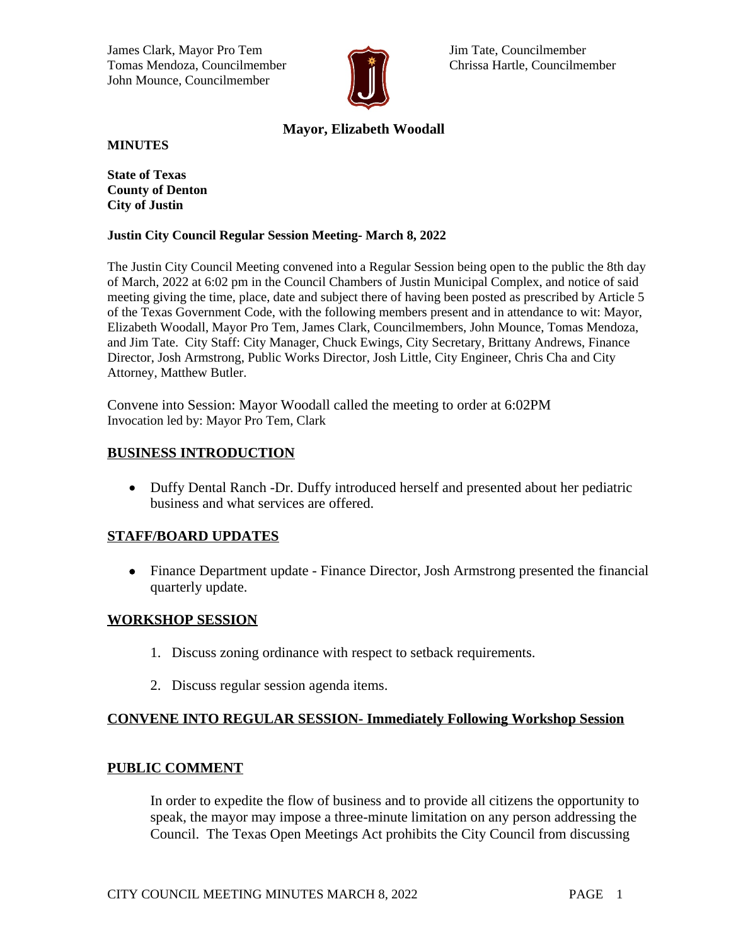James Clark, Mayor Pro Tem Jim Tate, Councilmember Tomas Mendoza, Councilmember **Chrissa Hartle, Councilmember** Chrissa Hartle, Councilmember John Mounce, Councilmember



# **Mayor, Elizabeth Woodall**

**MINUTES**

**State of Texas County of Denton City of Justin**

### **Justin City Council Regular Session Meeting- March 8, 2022**

The Justin City Council Meeting convened into a Regular Session being open to the public the 8th day of March, 2022 at 6:02 pm in the Council Chambers of Justin Municipal Complex, and notice of said meeting giving the time, place, date and subject there of having been posted as prescribed by Article 5 of the Texas Government Code, with the following members present and in attendance to wit: Mayor, Elizabeth Woodall, Mayor Pro Tem, James Clark, Councilmembers, John Mounce, Tomas Mendoza, and Jim Tate. City Staff: City Manager, Chuck Ewings, City Secretary, Brittany Andrews, Finance Director, Josh Armstrong, Public Works Director, Josh Little, City Engineer, Chris Cha and City Attorney, Matthew Butler.

Convene into Session: Mayor Woodall called the meeting to order at 6:02PM Invocation led by: Mayor Pro Tem, Clark

### **BUSINESS INTRODUCTION**

 Duffy Dental Ranch -Dr. Duffy introduced herself and presented about her pediatric business and what services are offered.

### **STAFF/BOARD UPDATES**

 Finance Department update - Finance Director, Josh Armstrong presented the financial quarterly update.

### **WORKSHOP SESSION**

- 1. Discuss zoning ordinance with respect to setback requirements.
- 2. Discuss regular session agenda items.

## **CONVENE INTO REGULAR SESSION- Immediately Following Workshop Session**

### **PUBLIC COMMENT**

In order to expedite the flow of business and to provide all citizens the opportunity to speak, the mayor may impose a three-minute limitation on any person addressing the Council. The Texas Open Meetings Act prohibits the City Council from discussing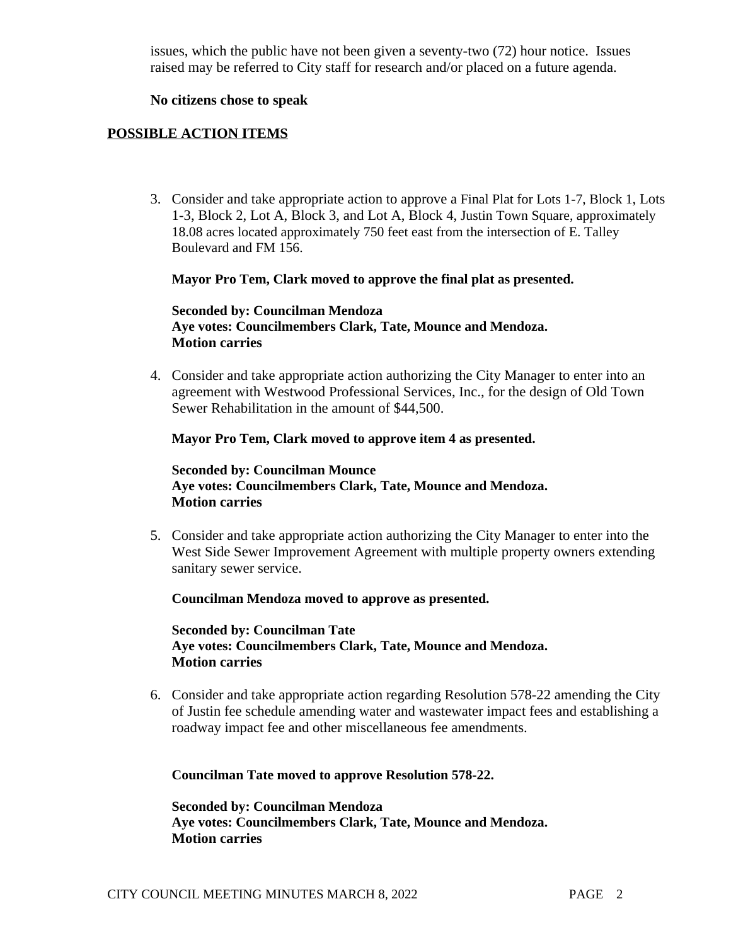issues, which the public have not been given a seventy-two (72) hour notice. Issues raised may be referred to City staff for research and/or placed on a future agenda.

#### **No citizens chose to speak**

### **POSSIBLE ACTION ITEMS**

3. Consider and take appropriate action to approve a Final Plat for Lots 1-7, Block 1, Lots 1-3, Block 2, Lot A, Block 3, and Lot A, Block 4, Justin Town Square, approximately 18.08 acres located approximately 750 feet east from the intersection of E. Talley Boulevard and FM 156.

#### **Mayor Pro Tem, Clark moved to approve the final plat as presented.**

### **Seconded by: Councilman Mendoza Aye votes: Councilmembers Clark, Tate, Mounce and Mendoza. Motion carries**

4. Consider and take appropriate action authorizing the City Manager to enter into an agreement with Westwood Professional Services, Inc., for the design of Old Town Sewer Rehabilitation in the amount of \$44,500.

#### **Mayor Pro Tem, Clark moved to approve item 4 as presented.**

### **Seconded by: Councilman Mounce Aye votes: Councilmembers Clark, Tate, Mounce and Mendoza. Motion carries**

5. Consider and take appropriate action authorizing the City Manager to enter into the West Side Sewer Improvement Agreement with multiple property owners extending sanitary sewer service.

#### **Councilman Mendoza moved to approve as presented.**

**Seconded by: Councilman Tate Aye votes: Councilmembers Clark, Tate, Mounce and Mendoza. Motion carries**

6. Consider and take appropriate action regarding Resolution 578-22 amending the City of Justin fee schedule amending water and wastewater impact fees and establishing a roadway impact fee and other miscellaneous fee amendments.

**Councilman Tate moved to approve Resolution 578-22.**

**Seconded by: Councilman Mendoza Aye votes: Councilmembers Clark, Tate, Mounce and Mendoza. Motion carries**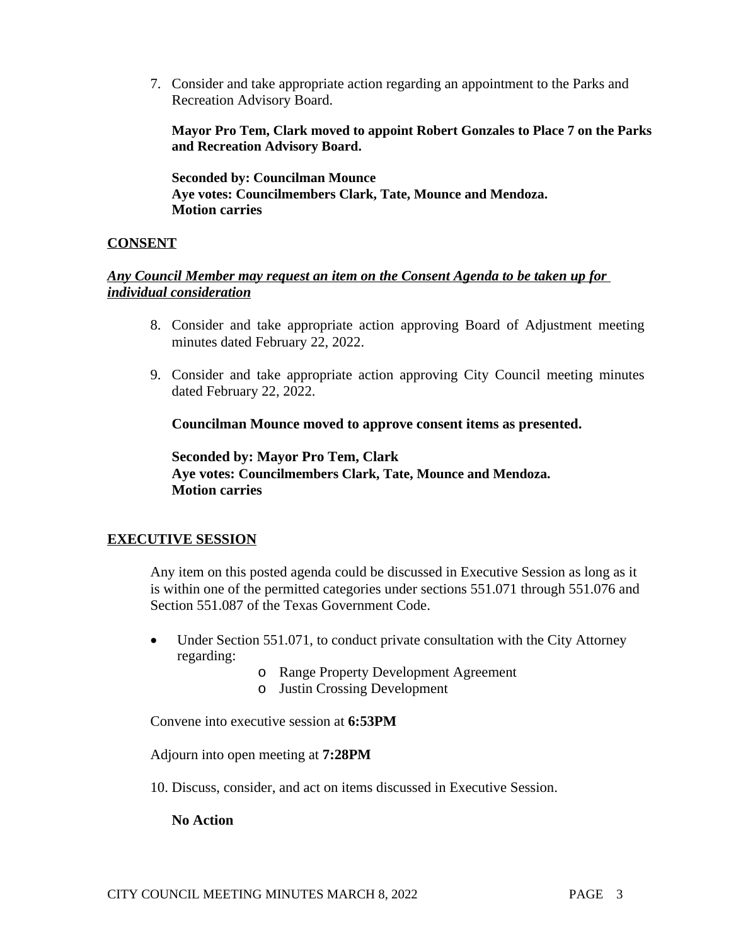7. Consider and take appropriate action regarding an appointment to the Parks and Recreation Advisory Board.

**Mayor Pro Tem, Clark moved to appoint Robert Gonzales to Place 7 on the Parks and Recreation Advisory Board.**

**Seconded by: Councilman Mounce Aye votes: Councilmembers Clark, Tate, Mounce and Mendoza. Motion carries**

## **CONSENT**

### *Any Council Member may request an item on the Consent Agenda to be taken up for individual consideration*

- 8. Consider and take appropriate action approving Board of Adjustment meeting minutes dated February 22, 2022.
- 9. Consider and take appropriate action approving City Council meeting minutes dated February 22, 2022.

**Councilman Mounce moved to approve consent items as presented.**

**Seconded by: Mayor Pro Tem, Clark Aye votes: Councilmembers Clark, Tate, Mounce and Mendoza. Motion carries**

## **EXECUTIVE SESSION**

Any item on this posted agenda could be discussed in Executive Session as long as it is within one of the permitted categories under sections 551.071 through 551.076 and Section 551.087 of the Texas Government Code.

- Under Section 551.071, to conduct private consultation with the City Attorney regarding:
	- o Range Property Development Agreement
	- o Justin Crossing Development

Convene into executive session at **6:53PM**

Adjourn into open meeting at **7:28PM**

10. Discuss, consider, and act on items discussed in Executive Session.

### **No Action**